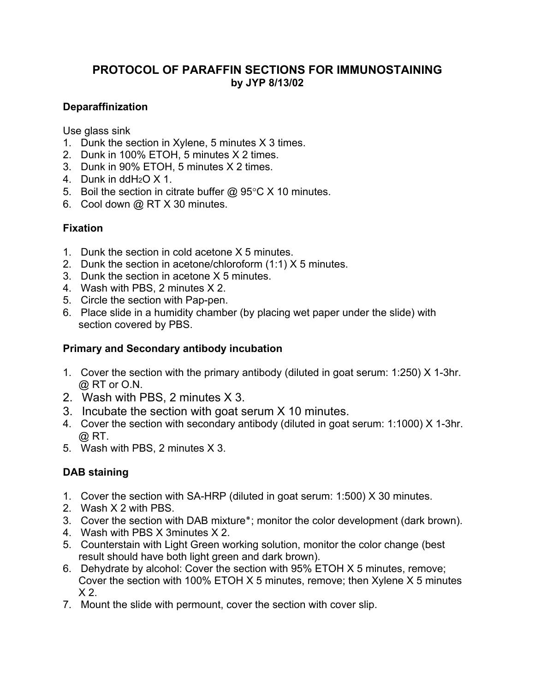# **PROTOCOL OF PARAFFIN SECTIONS FOR IMMUNOSTAINING by JYP 8/13/02**

## **Deparaffinization**

Use glass sink

- 1. Dunk the section in Xylene, 5 minutes X 3 times.
- 2. Dunk in 100% ETOH, 5 minutes X 2 times.
- 3. Dunk in 90% ETOH, 5 minutes X 2 times.
- 4. Dunk in ddH2O X 1.
- 5. Boil the section in citrate buffer  $@95°C \times 10$  minutes.
- 6. Cool down @ RT X 30 minutes.

#### **Fixation**

- 1. Dunk the section in cold acetone X 5 minutes.
- 2. Dunk the section in acetone/chloroform (1:1) X 5 minutes.
- 3. Dunk the section in acetone X 5 minutes.
- 4. Wash with PBS, 2 minutes X 2.
- 5. Circle the section with Pap-pen.
- 6. Place slide in a humidity chamber (by placing wet paper under the slide) with section covered by PBS.

## **Primary and Secondary antibody incubation**

- 1. Cover the section with the primary antibody (diluted in goat serum: 1:250) X 1-3hr. @ RT or O.N.
- 2. Wash with PBS, 2 minutes X 3.
- 3. Incubate the section with goat serum X 10 minutes.
- 4. Cover the section with secondary antibody (diluted in goat serum: 1:1000) X 1-3hr.  $\varpi$  RT.
- 5. Wash with PBS, 2 minutes X 3.

## **DAB staining**

- 1. Cover the section with SA-HRP (diluted in goat serum: 1:500) X 30 minutes.
- 2. Wash X 2 with PBS.
- 3. Cover the section with DAB mixture<sup>\*</sup>; monitor the color development (dark brown).
- 4. Wash with PBS X 3minutes X 2.
- 5. Counterstain with Light Green working solution, monitor the color change (best result should have both light green and dark brown).
- 6. Dehydrate by alcohol: Cover the section with 95% ETOH X 5 minutes, remove; Cover the section with 100% ETOH X 5 minutes, remove; then Xylene X 5 minutes  $X<sub>2</sub>$
- 7. Mount the slide with permount, cover the section with cover slip.